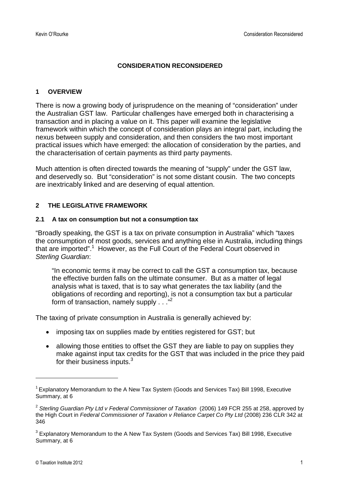#### **CONSIDERATION RECONSIDERED**

### **1 OVERVIEW**

There is now a growing body of jurisprudence on the meaning of "consideration" under the Australian GST law. Particular challenges have emerged both in characterising a transaction and in placing a value on it. This paper will examine the legislative framework within which the concept of consideration plays an integral part, including the nexus between supply and consideration, and then considers the two most important practical issues which have emerged: the allocation of consideration by the parties, and the characterisation of certain payments as third party payments.

Much attention is often directed towards the meaning of "supply" under the GST law, and deservedly so. But "consideration" is not some distant cousin. The two concepts are inextricably linked and are deserving of equal attention.

### **2 THE LEGISLATIVE FRAMEWORK**

#### **2.1 A tax on consumption but not a consumption tax**

"Broadly speaking, the GST is a tax on private consumption in Australia" which "taxes the consumption of most goods, services and anything else in Australia, including things that are imported".<sup>[1](#page-0-0)</sup> However, as the Full Court of the Federal Court observed in *Sterling Guardian*:

"In economic terms it may be correct to call the GST a consumption tax, because the effective burden falls on the ultimate consumer. But as a matter of legal analysis what is taxed, that is to say what generates the tax liability (and the obligations of recording and reporting), is not a consumption tax but a particular formof transaction, namely supply . . .["](#page-0-1)<sup>2</sup>

The taxing of private consumption in Australia is generally achieved by:

- imposing tax on supplies made by entities registered for GST; but
- allowing those entities to offset the GST they are liable to pay on supplies they make against input tax credits for the GST that was included in the price they paid for their business inputs.<sup>[3](#page-0-2)</sup>

<span id="page-0-0"></span><sup>&</sup>lt;sup>1</sup> Explanatory Memorandum to the A New Tax System (Goods and Services Tax) Bill 1998, Executive Summary, at 6

<span id="page-0-1"></span><sup>2</sup> *Sterling Guardian Pty Ltd v Federal Commissioner of Taxation* (2006) 149 FCR 255 at 258, approved by the High Court in *Federal Commissioner of Taxation v Reliance Carpet Co Pty Ltd* (2008) 236 CLR 342 at 346

<span id="page-0-2"></span> $^3$  Explanatory Memorandum to the A New Tax System (Goods and Services Tax) Bill 1998, Executive Summary, at 6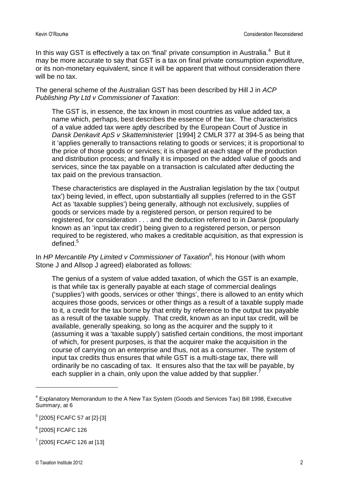In this way GST is effectively a tax on 'final' private consumption in Australia. $4$  But it may be more accurate to say that GST is a tax on final private consumption *expenditure*, or its non-monetary equivalent, since it will be apparent that without consideration there will be no tax.

The general scheme of the Australian GST has been described by Hill J in *ACP Publishing Pty Ltd v Commissioner of Taxation*:

The GST is, in essence, the tax known in most countries as value added tax, a name which, perhaps, best describes the essence of the tax. The characteristics of a value added tax were aptly described by the European Court of Justice in *Dansk Denkavit ApS v Skatteministeriet* [1994] 2 CMLR 377 at 394-5 as being that it 'applies generally to transactions relating to goods or services; it is proportional to the price of those goods or services; it is charged at each stage of the production and distribution process; and finally it is imposed on the added value of goods and services, since the tax payable on a transaction is calculated after deducting the tax paid on the previous transaction.

These characteristics are displayed in the Australian legislation by the tax ('output tax') being levied, in effect, upon substantially all supplies (referred to in the GST Act as 'taxable supplies') being generally, although not exclusively, supplies of goods or services made by a registered person, or person required to be registered, for consideration . . . and the deduction referred to in *Dansk* (popularly known as an 'input tax credit') being given to a registered person, or person required to be registered, who makes a creditable acquisition, as that expression is defined.<sup>[5](#page-1-1)</sup>

In *HP Mercantile Pty Limited v Commissioner of Taxation[6](#page-1-2)* , his Honour (with whom Stone J and Allsop J agreed) elaborated as follows:

The genius of a system of value added taxation, of which the GST is an example, is that while tax is generally payable at each stage of commercial dealings ('supplies') with goods, services or other 'things', there is allowed to an entity which acquires those goods, services or other things as a result of a taxable supply made to it, a credit for the tax borne by that entity by reference to the output tax payable as a result of the taxable supply. That credit, known as an input tax credit, will be available, generally speaking, so long as the acquirer and the supply to it (assuming it was a 'taxable supply') satisfied certain conditions, the most important of which, for present purposes, is that the acquirer make the acquisition in the course of carrying on an enterprise and thus, not as a consumer. The system of input tax credits thus ensures that while GST is a multi-stage tax, there will ordinarily be no cascading of tax. It ensures also that the tax will be payable, by each supplier in a chain, only upon the value added by that supplier.<sup>[7](#page-1-3)</sup>

<span id="page-1-0"></span><sup>&</sup>lt;sup>4</sup> Explanatory Memorandum to the A New Tax System (Goods and Services Tax) Bill 1998, Executive Summary, at 6

<span id="page-1-1"></span><sup>5</sup> [2005] FCAFC 57 at [2]-[3]

<span id="page-1-2"></span><sup>6</sup> [2005] FCAFC 126

<span id="page-1-3"></span> $^{7}$  [2005] FCAFC 126 at [13]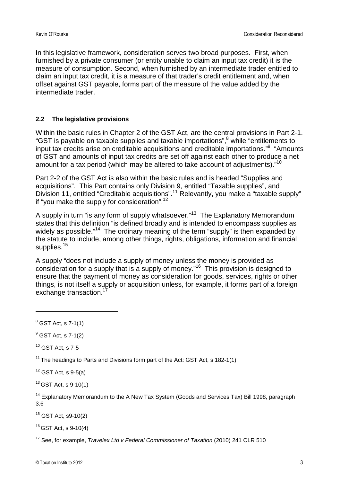In this legislative framework, consideration serves two broad purposes. First, when furnished by a private consumer (or entity unable to claim an input tax credit) it is the measure of consumption. Second, when furnished by an intermediate trader entitled to claim an input tax credit, it is a measure of that trader's credit entitlement and, when offset against GST payable, forms part of the measure of the value added by the intermediate trader.

### **2.2 The legislative provisions**

Within the basic rules in Chapter 2 of the GST Act, are the central provisions in Part 2-1. "GST is payable on taxable supplies and taxable importations",<sup>[8](#page-2-0)</sup> while "entitlements to input tax credits arise on creditable acquisitions and creditable importations."<sup>[9](#page-2-1)</sup> "Amounts of GST and amounts of input tax credits are set off against each other to produce a net amount for a tax period (which may be altered to take account of adjustments)."<sup>[10](#page-2-2)</sup>

Part 2-2 of the GST Act is also within the basic rules and is headed "Supplies and acquisitions". This Part contains only Division 9, entitled "Taxable supplies", and Division [11](#page-2-3), entitled "Creditable acquisitions".<sup>11</sup> Relevantly, you make a "taxable supply" if "you make the supply for consideration".[12](#page-2-4)

A supply in turn "is any form of supply whatsoever."<sup>[13](#page-2-5)</sup> The Explanatory Memorandum states that this definition "is defined broadly and is intended to encompass supplies as widely as possible."<sup>[14](#page-2-6)</sup> The ordinary meaning of the term "supply" is then expanded by the statute to include, among other things, rights, obligations, information and financial supplies.<sup>[15](#page-2-7)</sup>

A supply "does not include a supply of money unless the money is provided as consideration for a supply that is a supply of money."[16](#page-2-8) This provision is designed to ensure that the payment of money as consideration for goods, services, rights or other things, is not itself a supply or acquisition unless, for example, it forms part of a foreign exchange transaction.<sup>1</sup>

<span id="page-2-2"></span> $10$  GST Act, s 7-5

<span id="page-2-3"></span><sup>11</sup> The headings to Parts and Divisions form part of the Act: GST Act, s 182-1(1)

<span id="page-2-4"></span> $12$  GST Act, s 9-5(a)

<span id="page-2-5"></span> $13$  GST Act, s 9-10(1)

<span id="page-2-6"></span> $14$  Explanatory Memorandum to the A New Tax System (Goods and Services Tax) Bill 1998, paragraph 3.6

<span id="page-2-7"></span><sup>15</sup> GST Act, s9-10(2)

<span id="page-2-8"></span> $16$  GST Act, s 9-10(4)

<span id="page-2-9"></span><sup>17</sup> See, for example, *Travelex Ltd v Federal Commissioner of Taxation* (2010) 241 CLR 510

<span id="page-2-0"></span> $8$  GST Act, s 7-1(1)

<span id="page-2-1"></span> $<sup>9</sup>$  GST Act, s 7-1(2)</sup>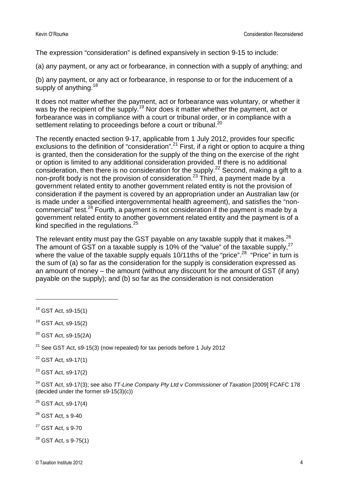The expression "consideration" is defined expansively in section 9-15 to include:

(a) any payment, or any act or forbearance, in connection with a supply of anything; and

(b) any payment, or any act or forbearance, in response to or for the inducement of a supply of anything.  $18$ 

It does not matter whether the payment, act or forbearance was voluntary, or whether it was by the recipient of the supply.<sup>[19](#page-3-1)</sup> Nor does it matter whether the payment, act or forbearance was in compliance with a court or tribunal order, or in compliance with a settlement relating to proceedings before a court or tribunal.<sup>[20](#page-3-2)</sup>

The recently enacted section 9-17, applicable from 1 July 2012, provides four specific exclusions to the definition of "consideration".[21](#page-3-3) First, if a right or option to acquire a thing is granted, then the consideration for the supply of the thing on the exercise of the right or option is limited to any additional consideration provided. If there is no additional consideration, then there is no consideration for the supply.<sup>[22](#page-3-4)</sup> Second, making a gift to a non-profit body is not the provision of consideration.[23](#page-3-5) Third, a payment made by a government related entity to another government related entity is not the provision of consideration if the payment is covered by an appropriation under an Australian law (or is made under a specified intergovernmental health agreement), and satisfies the "non-commercial"test[.](#page-3-6) $24$  Fourth, a payment is not consideration if the payment is made by a government related entity to another government related entity and the payment is of a kind specified in the regulations. $25$ 

The relevant entity must pay the GST payable on any taxable supply that it makes.  $26$ The amount of GST on a taxable supply is 10% of the "value" of the taxable supply,  $27$ where the value of the taxable supply equals 10/11ths of the "price".<sup>[28](#page-3-10)</sup> "Price" in turn is the sum of (a) so far as the consideration for the supply is consideration expressed as an amount of money – the amount (without any discount for the amount of GST (if any) payable on the supply); and (b) so far as the consideration is not consideration

<span id="page-3-3"></span> $21$  See GST Act, s9-15(3) (now repealed) for tax periods before 1 July 2012

<span id="page-3-4"></span><sup>22</sup> GST Act, s9-17(1)

<span id="page-3-5"></span> $23$  GST Act, s9-17(2)

<span id="page-3-6"></span><sup>24</sup> GST Act, s9-17(3); see also *TT-Line Company Pty Ltd v Commissioner of Taxation* [2009] FCAFC 178 (decided under the former s9-15(3)(c))

<span id="page-3-7"></span><sup>25</sup> GST Act, s9-17(4)

<span id="page-3-8"></span> $26$  GST Act, s 9-40

<span id="page-3-9"></span> $27$  GST Act, s 9-70

<span id="page-3-10"></span><sup>28</sup> GST Act, s 9-75(1)

<span id="page-3-0"></span><sup>18</sup> GST Act, s9-15(1)

<span id="page-3-1"></span><sup>19</sup> GST Act, s9-15(2)

<span id="page-3-2"></span> $20$  GST Act, s9-15(2A)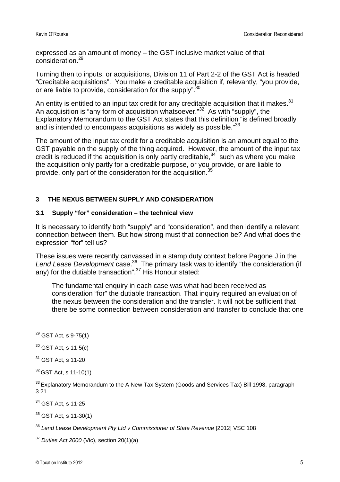expressed as an amount of money – the GST inclusive market value of that consideration.[29](#page-4-0)

Turning then to inputs, or acquisitions, Division 11 of Part 2-2 of the GST Act is headed "Creditable acquisitions". You make a creditable acquisition if, relevantly, "you provide, or are liable to provide, consideration for the supply".<sup>[30](#page-4-1)</sup>

An entity is entitled to an input tax credit for any creditable acquisition that it makes. $31$ An acquisition is "any form of acquisition whatsoever."<sup>[32](#page-4-3)</sup> As with "supply", the Explanatory Memorandum to the GST Act states that this definition "is defined broadly and is intended to encompass acquisitions as widely as possible."<sup>[33](#page-4-4)</sup>

The amount of the input tax credit for a creditable acquisition is an amount equal to the GST payable on the supply of the thing acquired. However, the amount of the input tax credit is reduced if the acquisition is only partly creditable,  $34$  such as where you make the acquisition only partly for a creditable purpose, or you provide, or are liable to provide, only part of the consideration for the acquisition.<sup>[35](#page-4-6)</sup>

### **3 THE NEXUS BETWEEN SUPPLY AND CONSIDERATION**

### **3.1 Supply "for" consideration – the technical view**

It is necessary to identify both "supply" and "consideration", and then identify a relevant connection between them. But how strong must that connection be? And what does the expression "for" tell us?

These issues were recently canvassed in a stamp duty context before Pagone J in the Lend Lease Development case.<sup>[36](#page-4-7)</sup> The primary task was to identify "the consideration (if any) for the dutiable transaction".<sup>[37](#page-4-8)</sup> His Honour stated:

The fundamental enquiry in each case was what had been received as consideration "for" the dutiable transaction. That inquiry required an evaluation of the nexus between the consideration and the transfer. It will not be sufficient that there be some connection between consideration and transfer to conclude that one

<span id="page-4-4"></span><sup>33</sup> Explanatory Memorandum to the A New Tax System (Goods and Services Tax) Bill 1998, paragraph 3.21

<span id="page-4-5"></span><sup>34</sup> GST Act, s 11-25

<span id="page-4-6"></span> $35$  GST Act, s 11-30(1)

<span id="page-4-7"></span><sup>36</sup> *Lend Lease Development Pty Ltd v Commissioner of State Revenue* [2012] VSC 108

<span id="page-4-8"></span><sup>37</sup> *Duties Act 2000* (Vic), section 20(1)(a)

<span id="page-4-0"></span> $29$  GST Act, s 9-75(1)

<span id="page-4-1"></span> $30$  GST Act, s 11-5(c)

<span id="page-4-2"></span><sup>31</sup> GST Act, s 11-20

<span id="page-4-3"></span> $32$  GST Act, s 11-10(1)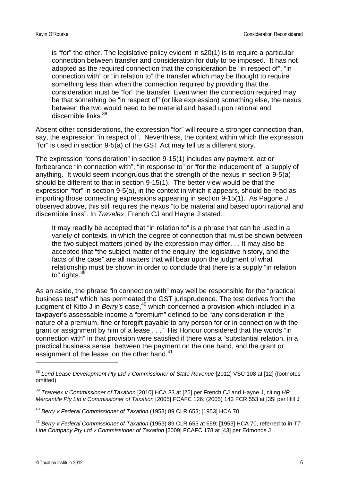is "for" the other. The legislative policy evident in s20(1) is to require a particular connection between transfer and consideration for duty to be imposed. It has not adopted as the required connection that the consideration be "in respect of", "in connection with" or "in relation to" the transfer which may be thought to require something less than when the connection required by providing that the consideration must be "for" the transfer. Even when the connection required may be that something be "in respect of" (or like expression) something else, the nexus between the two would need to be material and based upon rational and discernible links.<sup>[38](#page-5-0)</sup>

Absent other considerations, the expression "for" will require a stronger connection than, say, the expression "in respect of". Neverthless, the context within which the expression "for" is used in section 9-5(a) of the GST Act may tell us a different story.

The expression "consideration" in section 9-15(1) includes any payment, act or forbearance "in connection with", "in response to" or "for the inducement of" a supply of anything. It would seem incongruous that the strength of the nexus in section 9-5(a) should be different to that in section 9-15(1). The better view would be that the expression "for" in section 9-5(a), in the context in which it appears, should be read as importing those connecting expressions appearing in section 9-15(1). As Pagone J observed above, this still requires the nexus "to be material and based upon rational and discernible links". In *Travelex*, French CJ and Hayne J stated:

It may readily be accepted that "in relation to" is a phrase that can be used in a variety of contexts, in which the degree of connection that must be shown between the two subject matters joined by the expression may differ. . . It may also be accepted that "the subject matter of the enquiry, the legislative history, and the facts of the case" are all matters that will bear upon the judgment of what relationship must be shown in order to conclude that there is a supply "in relation to" rights. $39$ 

As an aside, the phrase "in connection with" may well be responsible for the "practical business test" which has permeated the GST jurisprudence. The test derives from the judgment of Kitto J in *Berry's* case,<sup>[40](#page-5-2)</sup> which concerned a provision which included in a taxpayer's assessable income a "premium" defined to be "any consideration in the nature of a premium, fine or foregift payable to any person for or in connection with the grant or assignment by him of a lease . . ." His Honour considered that the words "in connection with" in that provision were satisfied if there was a "substantial relation, in a practical business sense" between the payment on the one hand, and the grant or assignment of the lease, on the other hand.<sup>[41](#page-5-3)</sup>

<span id="page-5-0"></span><sup>38</sup> *Lend Lease Development Pty Ltd v Commissioner of State Revenue* [2012] VSC 108 at [12] (footnotes omitted)

<span id="page-5-1"></span><sup>39</sup> *Travelex v Commissioner of Taxation* [2010] HCA 33 at [25] per French CJ and Hayne J, citing *HP Mercantile Pty Ltd v Commissioner of Taxation* [2005] FCAFC 126; (2005) 143 FCR 553 at [35] per Hill J

<span id="page-5-2"></span><sup>40</sup> *Berry v Federal Commissioner of Taxation* (1953) 89 CLR 653; [1953] HCA 70

<span id="page-5-3"></span><sup>41</sup> *Berry v Federal Commissioner of Taxation* (1953) 89 CLR 653 at 659; [1953] HCA 70, referred to in *TT-Line Company Pty Ltd v Commissioner of Taxation* [2009] FCAFC 178 at [43] per Edmonds J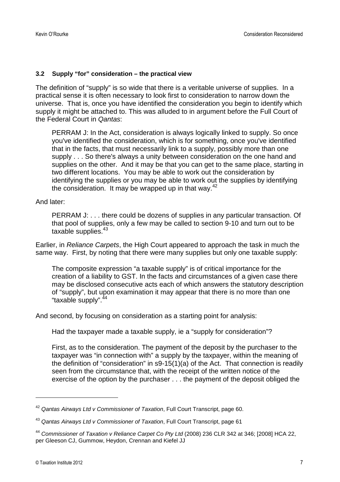#### **3.2 Supply "for" consideration – the practical view**

The definition of "supply" is so wide that there is a veritable universe of supplies. In a practical sense it is often necessary to look first to consideration to narrow down the universe. That is, once you have identified the consideration you begin to identify which supply it might be attached to. This was alluded to in argument before the Full Court of the Federal Court in *Qantas*:

PERRAM J: In the Act, consideration is always logically linked to supply. So once you've identified the consideration, which is for something, once you've identified that in the facts, that must necessarily link to a supply, possibly more than one supply . . . So there's always a unity between consideration on the one hand and supplies on the other. And it may be that you can get to the same place, starting in two different locations. You may be able to work out the consideration by identifying the supplies or you may be able to work out the supplies by identifying theconsideration[.](#page-6-0) It may be wrapped up in that way. $42$ 

And later:

PERRAM J: . . . there could be dozens of supplies in any particular transaction. Of that pool of supplies, only a few may be called to section 9-10 and turn out to be taxable supplies.<sup>[43](#page-6-1)</sup>

Earlier, in *Reliance Carpets*, the High Court appeared to approach the task in much the same way. First, by noting that there were many supplies but only one taxable supply:

The composite expression "a taxable supply" is of critical importance for the creation of a liability to GST. In the facts and circumstances of a given case there may be disclosed consecutive acts each of which answers the statutory description of "supply", but upon examination it may appear that there is no more than one "taxable supply".<sup>[44](#page-6-2)</sup>

And second, by focusing on consideration as a starting point for analysis:

Had the taxpayer made a taxable supply, ie a "supply for consideration"?

First, as to the consideration. The payment of the deposit by the purchaser to the taxpayer was "in connection with" a supply by the taxpayer, within the meaning of the definition of "consideration" in s9-15(1)(a) of the Act. That connection is readily seen from the circumstance that, with the receipt of the written notice of the exercise of the option by the purchaser . . . the payment of the deposit obliged the

<span id="page-6-0"></span><sup>42</sup> *Qantas Airways Ltd v Commissioner of Taxation*, Full Court Transcript, page 60.

<span id="page-6-1"></span><sup>43</sup> *Qantas Airways Ltd v Commissioner of Taxation*, Full Court Transcript, page 61

<span id="page-6-2"></span><sup>44</sup> *Commissioner of Taxation v Reliance Carpet Co Pty Ltd* (2008) 236 CLR 342 at 346; [2008] HCA 22, per Gleeson CJ, Gummow, Heydon, Crennan and Kiefel JJ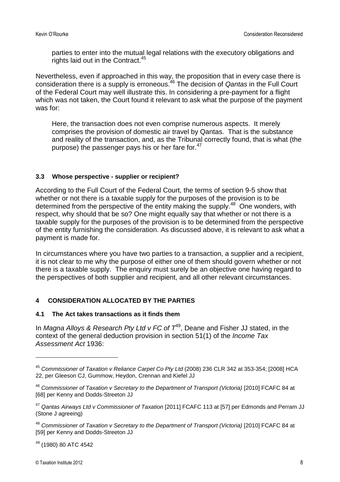parties to enter into the mutual legal relations with the executory obligations and rights laid out in the Contract.<sup>[45](#page-7-0)</sup>

Nevertheless, even if approached in this way, the proposition that in every case there is consideration there is a supply is erroneous.[46](#page-7-1) The decision of *Qantas* in the Full Court of the Federal Court may well illustrate this. In considering a pre-payment for a flight which was not taken, the Court found it relevant to ask what the purpose of the payment was for:

Here, the transaction does not even comprise numerous aspects. It merely comprises the provision of domestic air travel by Qantas. That is the substance and reality of the transaction, and, as the Tribunal correctly found, that is what (the purpose)the passenger pays his or her fare for[.](#page-7-2)<sup>47</sup>

### **3.3 Whose perspective - supplier or recipient?**

According to the Full Court of the Federal Court, the terms of section 9-5 show that whether or not there is a taxable supply for the purposes of the provision is to be determined from the perspective of the entity making the supply.<sup>[48](#page-7-3)</sup> One wonders, with respect, why should that be so? One might equally say that whether or not there is a taxable supply for the purposes of the provision is to be determined from the perspective of the entity furnishing the consideration. As discussed above, it is relevant to ask what a payment is made for.

In circumstances where you have two parties to a transaction, a supplier and a recipient, it is not clear to me why the purpose of either one of them should govern whether or not there is a taxable supply. The enquiry must surely be an objective one having regard to the perspectives of both supplier and recipient, and all other relevant circumstances.

#### **4 CONSIDERATION ALLOCATED BY THE PARTIES**

#### **4.1 The Act takes transactions as it finds them**

In *Magna Alloys & Research Pty Ltd v FC of [T](#page-7-4)*<sup>49</sup>, Deane and Fisher JJ stated, in the context of the general deduction provision in section 51(1) of the *Income Tax Assessment Act* 1936:

<span id="page-7-0"></span><sup>45</sup> *Commissioner of Taxation v Reliance Carpet Co Pty Ltd* (2008) 236 CLR 342 at 353-354; [2008] HCA 22, per Gleeson CJ, Gummow, Heydon, Crennan and Kiefel JJ

<span id="page-7-1"></span><sup>46</sup> *Commissioner of Taxation v Secretary to the Department of Transport (Victoria)* [2010] FCAFC 84 at [68] per Kenny and Dodds-Streeton JJ

<span id="page-7-2"></span><sup>47</sup> *Qantas Airways Ltd v Commissioner of Taxation* [2011] FCAFC 113 at [57] per Edmonds and Perram JJ (Stone J agreeing)

<span id="page-7-3"></span><sup>48</sup> *Commissioner of Taxation v Secretary to the Department of Transport (Victoria)* [2010] FCAFC 84 at [59] per Kenny and Dodds-Streeton JJ

<span id="page-7-4"></span><sup>49</sup> (1980) 80 ATC 4542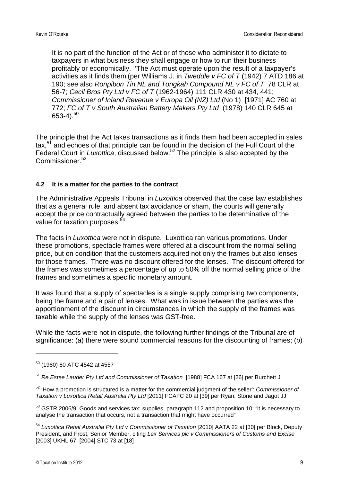It is no part of the function of the Act or of those who administer it to dictate to taxpayers in what business they shall engage or how to run their business profitably or economically. 'The Act must operate upon the result of a taxpayer's activities as it finds them'(per Williams J. in *Tweddle v FC of T* (1942) 7 ATD 186 at 190; see also *Ronpibon Tin NL and Tongkah Compound NL v FC of T* 78 CLR at 56-7; *Cecil Bros Pty Ltd v FC of T* (1962-1964) 111 CLR 430 at 434, 441; *Commissioner of Inland Revenue v Europa Oil (NZ) Ltd* (No 1) [1971] AC 760 at 772; *FC of T v South Australian Battery Makers Pty Ltd* (1978) 140 CLR 645 at  $653-4$ ).<sup>[50](#page-8-0)</sup>

The principle that the Act takes transactions as it finds them had been accepted in sales tax,<sup>[51](#page-8-1)</sup> and echoes of that principle can be found in the decision of the Full Court of the Federal Court in *Luxottica*, discussed below.<sup>[52](#page-8-2)</sup> The principle is also accepted by the Commissioner<sup>[53](#page-8-3)</sup>

### **4.2 It is a matter for the parties to the contract**

The Administrative Appeals Tribunal in *Luxottica* observed that the case law establishes that as a general rule, and absent tax avoidance or sham, the courts will generally accept the price contractually agreed between the parties to be determinative of the value for taxation purposes.<sup>5</sup>

The facts in *Luxottica* were not in dispute. Luxottica ran various promotions. Under these promotions, spectacle frames were offered at a discount from the normal selling price, but on condition that the customers acquired not only the frames but also lenses for those frames. There was no discount offered for the lenses. The discount offered for the frames was sometimes a percentage of up to 50% off the normal selling price of the frames and sometimes a specific monetary amount.

It was found that a supply of spectacles is a single supply comprising two components, being the frame and a pair of lenses. What was in issue between the parties was the apportionment of the discount in circumstances in which the supply of the frames was taxable while the supply of the lenses was GST-free.

While the facts were not in dispute, the following further findings of the Tribunal are of significance: (a) there were sound commercial reasons for the discounting of frames; (b)

<span id="page-8-0"></span><sup>50</sup> (1980) 80 ATC 4542 at 4557

<span id="page-8-1"></span><sup>51</sup> *Re Estee Lauder Pty Ltd and Commissioner of Taxation* [1988] FCA 167 at [26] per Burchett J

<span id="page-8-2"></span><sup>52</sup> 'How a promotion is structured is a matter for the commercial judgment of the seller': *Commissioner of Taxation v Luxottica Retail Australia Pty Ltd* [2011] FCAFC 20 at [39] per Ryan, Stone and Jagot JJ

<span id="page-8-3"></span><sup>&</sup>lt;sup>53</sup> GSTR 2006/9, Goods and services tax: supplies, paragraph 112 and proposition 10: "it is necessary to analyse the transaction that occurs, not a transaction that might have occurred"

<span id="page-8-4"></span><sup>54</sup> *Luxottica Retail Australia Pty Ltd v Commissioner of Taxation* [2010] AATA 22 at [30] per Block, Deputy President, and Frost, Senior Member, citing *Lex Services plc v Commissioners of Customs and Excise* [2003] UKHL 67; [2004] STC 73 at [18]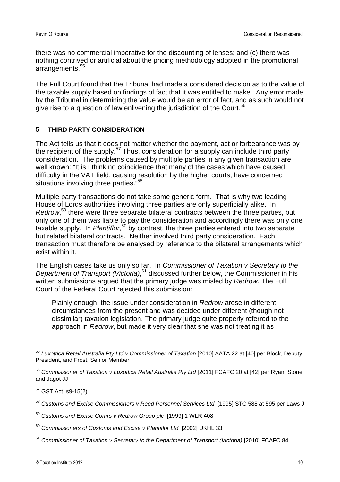there was no commercial imperative for the discounting of lenses; and (c) there was nothing contrived or artificial about the pricing methodology adopted in the promotional arrangements.<sup>[55](#page-9-0)</sup>

The Full Court found that the Tribunal had made a considered decision as to the value of the taxable supply based on findings of fact that it was entitled to make. Any error made by the Tribunal in determining the value would be an error of fact, and as such would not give rise to a question of law enlivening the jurisdiction of the Court.<sup>[56](#page-9-1)</sup>

### **5 THIRD PARTY CONSIDERATION**

The Act tells us that it does not matter whether the payment, act or forbearance was by the recipient of the supply.<sup>[57](#page-9-2)</sup> Thus, consideration for a supply can include third party consideration. The problems caused by multiple parties in any given transaction are well known: "It is I think no coincidence that many of the cases which have caused difficulty in the VAT field, causing resolution by the higher courts, have concerned situations involving three parties."<sup>[58](#page-9-3)</sup>

Multiple party transactions do not take some generic form. That is why two leading House of Lords authorities involving three parties are only superficially alike. In *Redrow*, [59](#page-9-4) there were three separate bilateral contracts between the three parties, but only one of them was liable to pay the consideration and accordingly there was only one taxable supply. In *Plantiflor*, [60](#page-9-5) by contrast, the three parties entered into two separate but related bilateral contracts. Neither involved third party consideration. Each transaction must therefore be analysed by reference to the bilateral arrangements which exist within it.

The English cases take us only so far. In *Commissioner of Taxation v Secretary to the Department of Transport (Victoria)*, [61](#page-9-6) discussed further below, the Commissioner in his written submissions argued that the primary judge was misled by *Redrow*. The Full Court of the Federal Court rejected this submission:

Plainly enough, the issue under consideration in *Redrow* arose in different circumstances from the present and was decided under different (though not dissimilar) taxation legislation. The primary judge quite properly referred to the approach in *Redrow*, but made it very clear that she was not treating it as

<span id="page-9-2"></span> $57$  GST Act, s9-15(2)

<span id="page-9-0"></span><sup>55</sup> *Luxottica Retail Australia Pty Ltd v Commissioner of Taxation* [2010] AATA 22 at [40] per Block, Deputy President, and Frost, Senior Member

<span id="page-9-1"></span><sup>56</sup> *Commissioner of Taxation v Luxottica Retail Australia Pty Ltd* [2011] FCAFC 20 at [42] per Ryan, Stone and Jagot JJ

<span id="page-9-3"></span><sup>58</sup> *Customs and Excise Commissioners v Reed Personnel Services Ltd* [1995] STC 588 at 595 per Laws J

<span id="page-9-4"></span><sup>59</sup> *Customs and Excise Comrs v Redrow Group plc* [1999] 1 WLR 408

<span id="page-9-5"></span><sup>60</sup> *Commissioners of Customs and Excise v Plantiflor Ltd* [2002] UKHL 33

<span id="page-9-6"></span><sup>61</sup> *Commissioner of Taxation v Secretary to the Department of Transport (Victoria)* [2010] FCAFC 84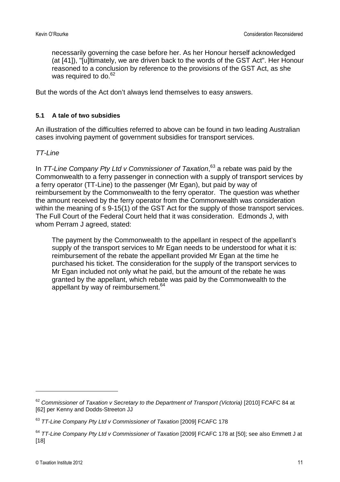necessarily governing the case before her. As her Honour herself acknowledged (at [41]), "[u]ltimately, we are driven back to the words of the GST Act". Her Honour reasoned to a conclusion by reference to the provisions of the GST Act, as she wasrequired to do[.](#page-10-0) $62$ 

But the words of the Act don't always lend themselves to easy answers.

### **5.1 A tale of two subsidies**

An illustration of the difficulties referred to above can be found in two leading Australian cases involving payment of government subsidies for transport services.

### *TT-Line*

In *TT-Line Company Pty Ltd v Commissioner of Taxation*[,](#page-10-1) [63](#page-10-1) a rebate was paid by the Commonwealth to a ferry passenger in connection with a supply of transport services by a ferry operator (TT-Line) to the passenger (Mr Egan), but paid by way of reimbursement by the Commonwealth to the ferry operator. The question was whether the amount received by the ferry operator from the Commonwealth was consideration within the meaning of s 9-15(1) of the GST Act for the supply of those transport services. The Full Court of the Federal Court held that it was consideration. Edmonds J, with whom Perram J agreed, stated:

The payment by the Commonwealth to the appellant in respect of the appellant's supply of the transport services to Mr Egan needs to be understood for what it is: reimbursement of the rebate the appellant provided Mr Egan at the time he purchased his ticket. The consideration for the supply of the transport services to Mr Egan included not only what he paid, but the amount of the rebate he was granted by the appellant, which rebate was paid by the Commonwealth to the appellant by way of reimbursement. $64$ 

<span id="page-10-0"></span><sup>62</sup> *Commissioner of Taxation v Secretary to the Department of Transport (Victoria)* [2010] FCAFC 84 at [62] per Kenny and Dodds-Streeton JJ

<span id="page-10-1"></span><sup>63</sup> *TT-Line Company Pty Ltd v Commissioner of Taxation* [2009] FCAFC 178

<span id="page-10-2"></span><sup>64</sup> *TT-Line Company Pty Ltd v Commissioner of Taxation* [2009] FCAFC 178 at [50]; see also Emmett J at [18]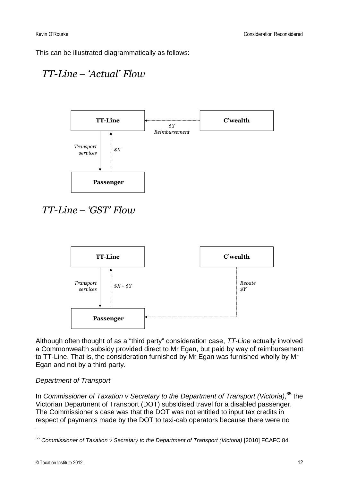This can be illustrated diagrammatically as follows:

### *TT-Line – 'Actual' Flow*



## *TT-Line – 'GST' Flow*



Although often thought of as a "third party" consideration case, *TT-Line* actually involved a Commonwealth subsidy provided direct to Mr Egan, but paid by way of reimbursement to TT-Line. That is, the consideration furnished by Mr Egan was furnished wholly by Mr Egan and not by a third party.

### *Department of Transport*

In *Commissioner of Taxation v Secretary to the Department of Transport (Victoria)*[,](#page-11-0) [65](#page-11-0) the Victorian Department of Transport (DOT) subsidised travel for a disabled passenger. The Commissioner's case was that the DOT was not entitled to input tax credits in respect of payments made by the DOT to taxi-cab operators because there were no

<span id="page-11-0"></span><sup>65</sup> *Commissioner of Taxation v Secretary to the Department of Transport (Victoria)* [2010] FCAFC 84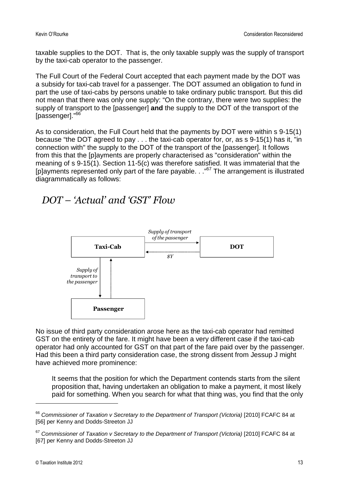taxable supplies to the DOT. That is, the only taxable supply was the supply of transport by the taxi-cab operator to the passenger.

The Full Court of the Federal Court accepted that each payment made by the DOT was a subsidy for taxi-cab travel for a passenger. The DOT assumed an obligation to fund in part the use of taxi-cabs by persons unable to take ordinary public transport. But this did not mean that there was only one supply: "On the contrary, there were two supplies: the supply of transport to the [passenger] **and** the supply to the DOT of the transport of the [passenger]."<sup>[66](#page-12-0)</sup>

As to consideration, the Full Court held that the payments by DOT were within s 9-15(1) because "the DOT agreed to pay . . . the taxi-cab operator for, or, as s 9-15(1) has it, "in connection with" the supply to the DOT of the transport of the [passenger]. It follows from this that the [p]ayments are properly characterised as "consideration" within the meaning of s 9-15(1). Section 11-5(c) was therefore satisfied. It was immaterial that the [p]ayments represented only part of the fare payable...["](#page-12-1)<sup>67</sup> The arrangement is illustrated diagrammatically as follows:

### *DOT – 'Actual' and 'GST' Flow*



No issue of third party consideration arose here as the taxi-cab operator had remitted GST on the entirety of the fare. It might have been a very different case if the taxi-cab operator had only accounted for GST on that part of the fare paid over by the passenger. Had this been a third party consideration case, the strong dissent from Jessup J might have achieved more prominence:

It seems that the position for which the Department contends starts from the silent proposition that, having undertaken an obligation to make a payment, it most likely paid for something. When you search for what that thing was, you find that the only

<span id="page-12-0"></span><sup>66</sup> *Commissioner of Taxation v Secretary to the Department of Transport (Victoria)* [2010] FCAFC 84 at [56] per Kenny and Dodds-Streeton JJ

<span id="page-12-1"></span><sup>67</sup> *Commissioner of Taxation v Secretary to the Department of Transport (Victoria)* [2010] FCAFC 84 at [67] per Kenny and Dodds-Streeton JJ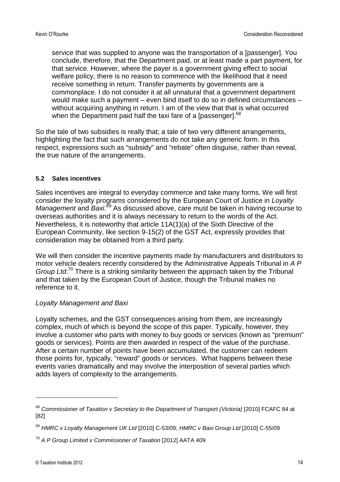service that was supplied to anyone was the transportation of a [passenger]. You conclude, therefore, that the Department paid, or at least made a part payment, for that service. However, where the payer is a government giving effect to social welfare policy, there is no reason to commence with the likelihood that it need receive something in return. Transfer payments by governments are a commonplace. I do not consider it at all unnatural that a government department would make such a payment – even bind itself to do so in defined circumstances – without acquiring anything in return. I am of the view that that is what occurred when the Department paid half the taxi fare of a [passenger].<sup>[68](#page-13-0)</sup>

So the tale of two subsidies is really that; a tale of two very different arrangements, highlighting the fact that such arrangements do not take any generic form. In this respect, expressions such as "subsidy" and "rebate" often disguise, rather than reveal, the true nature of the arrangements.

### **5.2 Sales incentives**

Sales incentives are integral to everyday commerce and take many forms. We will first consider the loyalty programs considered by the European Court of Justice in *Loyalty Management* and *Baxi.[69](#page-13-1)* As discussed above, care must be taken in having recourse to overseas authorities and it is always necessary to return to the words of the Act. Nevertheless, it is noteworthy that article 11A(1)(a) of the Sixth Directive of the European Community, like section 9-15(2) of the GST Act, expressly provides that consideration may be obtained from a third party.

We will then consider the incentive payments made by manufacturers and distributors to motor vehicle dealers recently considered by the Administrative Appeals Tribunal in *A P Group Ltd*. [70](#page-13-2) There is a striking similarity between the approach taken by the Tribunal and that taken by the European Court of Justice, though the Tribunal makes no reference to it.

### *Loyalty Management and Baxi*

Loyalty schemes, and the GST consequences arising from them, are increasingly complex, much of which is beyond the scope of this paper. Typically, however, they involve a customer who parts with money to buy goods or services (known as "premium" goods or services). Points are then awarded in respect of the value of the purchase. After a certain number of points have been accumulated, the customer can redeem those points for, typically, "reward" goods or services. What happens between these events varies dramatically and may involve the interposition of several parties which adds layers of complexity to the arrangements.

<span id="page-13-0"></span><sup>68</sup> *Commissioner of Taxation v Secretary to the Department of Transport (Victoria)* [2010] FCAFC 84 at [82]

<span id="page-13-1"></span><sup>69</sup> *HMRC v Loyalty Management UK Ltd* [2010] C-53/09; *HMRC v Baxi Group Ltd* [2010] C-55/09

<span id="page-13-2"></span><sup>70</sup> *A P Group Limited v Commissioner of Taxation* [2012] AATA 409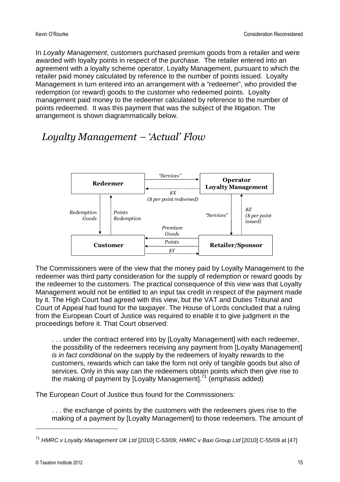In *Loyalty Management*, customers purchased premium goods from a retailer and were awarded with loyalty points in respect of the purchase. The retailer entered into an agreement with a loyalty scheme operator, Loyalty Management, pursuant to which the retailer paid money calculated by reference to the number of points issued. Loyalty Management in turn entered into an arrangement with a "redeemer", who provided the redemption (or reward) goods to the customer who redeemed points. Loyalty management paid money to the redeemer calculated by reference to the number of points redeemed. It was this payment that was the subject of the litigation. The arrangement is shown diagrammatically below.

## *Loyalty Management – 'Actual' Flow*



The Commissioners were of the view that the money paid by Loyalty Management to the redeemer was third party consideration for the supply of redemption or reward goods by the redeemer to the customers. The practical consequence of this view was that Loyalty Management would not be entitled to an input tax credit in respect of the payment made by it. The High Court had agreed with this view, but the VAT and Duties Tribunal and Court of Appeal had found for the taxpayer. The House of Lords concluded that a ruling from the European Court of Justice was required to enable it to give judgment in the proceedings before it. That Court observed:

. . . under the contract entered into by [Loyalty Management] with each redeemer, the possibility of the redeemers receiving any payment from [Loyalty Management] *is in fact conditional* on the supply by the redeemers of loyalty rewards to the customers, rewards which can take the form not only of tangible goods but also of services. Only in this way can the redeemers obtain points which then give rise to the making of payment by [Loyalty Management].<sup>[71](#page-14-0)</sup> (emphasis added)

The European Court of Justice thus found for the Commissioners:

. . . the exchange of points by the customers with the redeemers gives rise to the making of a payment by [Loyalty Management] to those redeemers. The amount of

<span id="page-14-0"></span><sup>71</sup> *HMRC v Loyalty Management UK Ltd* [2010] C-53/09; *HMRC v Baxi Group Ltd* [2010] C-55/09 at [47]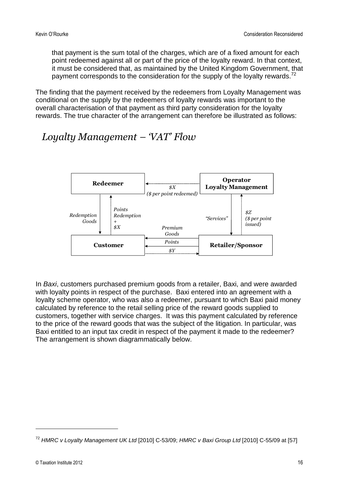that payment is the sum total of the charges, which are of a fixed amount for each point redeemed against all or part of the price of the loyalty reward. In that context, it must be considered that, as maintained by the United Kingdom Government, that payment corresponds to the consideration for the supply of the loyalty rewards.<sup>[72](#page-15-0)</sup>

The finding that the payment received by the redeemers from Loyalty Management was conditional on the supply by the redeemers of loyalty rewards was important to the overall characterisation of that payment as third party consideration for the loyalty rewards. The true character of the arrangement can therefore be illustrated as follows:

### *Loyalty Management – 'VAT' Flow*



In *Baxi*, customers purchased premium goods from a retailer, Baxi, and were awarded with loyalty points in respect of the purchase. Baxi entered into an agreement with a loyalty scheme operator, who was also a redeemer, pursuant to which Baxi paid money calculated by reference to the retail selling price of the reward goods supplied to customers, together with service charges. It was this payment calculated by reference to the price of the reward goods that was the subject of the litigation. In particular, was Baxi entitled to an input tax credit in respect of the payment it made to the redeemer? The arrangement is shown diagrammatically below.

<span id="page-15-0"></span><sup>72</sup> *HMRC v Loyalty Management UK Ltd* [2010] C-53/09; *HMRC v Baxi Group Ltd* [2010] C-55/09 at [57]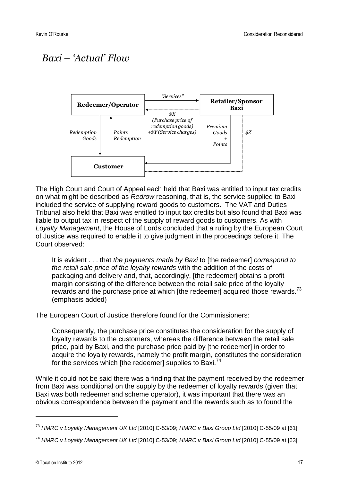# *Baxi – 'Actual' Flow*



The High Court and Court of Appeal each held that Baxi was entitled to input tax credits on what might be described as *Redrow* reasoning, that is, the service supplied to Baxi included the service of supplying reward goods to customers. The VAT and Duties Tribunal also held that Baxi was entitled to input tax credits but also found that Baxi was liable to output tax in respect of the supply of reward goods to customers. As with *Loyalty Management*, the House of Lords concluded that a ruling by the European Court of Justice was required to enable it to give judgment in the proceedings before it. The Court observed:

It is evident . . . that *the payments made by Baxi* to [the redeemer] *correspond to the retail sale price of the loyalty rewards* with the addition of the costs of packaging and delivery and, that, accordingly, [the redeemer] obtains a profit margin consisting of the difference between the retail sale price of the loyalty rewards and the purchase price at which [the redeemer] acquired those rewards.<sup>[73](#page-16-0)</sup> (emphasis added)

The European Court of Justice therefore found for the Commissioners:

Consequently, the purchase price constitutes the consideration for the supply of loyalty rewards to the customers, whereas the difference between the retail sale price, paid by Baxi, and the purchase price paid by [the redeemer] in order to acquire the loyalty rewards, namely the profit margin, constitutes the consideration forthe services which [the redeemer] supplies to Baxi[.](#page-16-1)<sup>74</sup>

While it could not be said there was a finding that the payment received by the redeemer from Baxi was conditional on the supply by the redeemer of loyalty rewards (given that Baxi was both redeemer and scheme operator), it was important that there was an obvious correspondence between the payment and the rewards such as to found the

<span id="page-16-0"></span><sup>73</sup> *HMRC v Loyalty Management UK Ltd* [2010] C-53/09; *HMRC v Baxi Group Ltd* [2010] C-55/09 at [61]

<span id="page-16-1"></span><sup>74</sup> *HMRC v Loyalty Management UK Ltd* [2010] C-53/09; *HMRC v Baxi Group Ltd* [2010] C-55/09 at [63]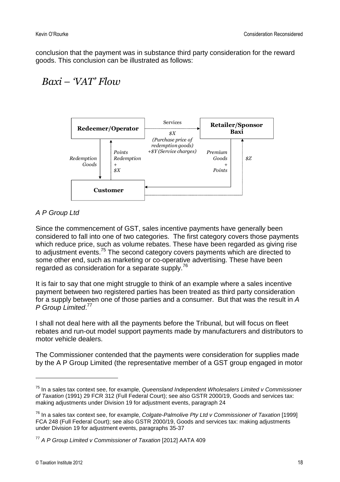conclusion that the payment was in substance third party consideration for the reward goods. This conclusion can be illustrated as follows:

### *Baxi – 'VAT' Flow*



### *A P Group Ltd*

Since the commencement of GST, sales incentive payments have generally been considered to fall into one of two categories. The first category covers those payments which reduce price, such as volume rebates. These have been regarded as giving rise to adjustment events.<sup>[75](#page-17-0)</sup> The second category covers payments which are directed to some other end, such as marketing or co-operative advertising. These have been regarded as consideration for a separate supply.<sup>[76](#page-17-1)</sup>

It is fair to say that one might struggle to think of an example where a sales incentive payment between two registered parties has been treated as third party consideration for a supply between one of those parties and a consumer. But that was the result in *A P Group Limited*. [77](#page-17-2)

I shall not deal here with all the payments before the Tribunal, but will focus on fleet rebates and run-out model support payments made by manufacturers and distributors to motor vehicle dealers.

The Commissioner contended that the payments were consideration for supplies made by the A P Group Limited (the representative member of a GST group engaged in motor

<span id="page-17-0"></span><sup>75</sup> In a sales tax context see, for example, *Queensland Independent Wholesalers Limited v Commissioner of Taxation* (1991) 29 FCR 312 (Full Federal Court); see also GSTR 2000/19, Goods and services tax: making adjustments under Division 19 for adjustment events, paragraph 24

<span id="page-17-1"></span><sup>76</sup> In a sales tax context see, for example, *Colgate-Palmolive Pty Ltd v Commissioner of Taxation* [1999] FCA 248 (Full Federal Court); see also GSTR 2000/19, Goods and services tax: making adjustments under Division 19 for adjustment events, paragraphs 35-37

<span id="page-17-2"></span><sup>77</sup> *A P Group Limited v Commissioner of Taxation* [2012] AATA 409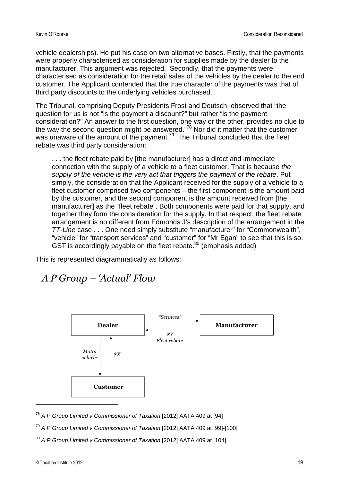vehicle dealerships). He put his case on two alternative bases. Firstly, that the payments were properly characterised as consideration for supplies made by the dealer to the manufacturer. This argument was rejected. Secondly, that the payments were characterised as consideration for the retail sales of the vehicles by the dealer to the end customer. The Applicant contended that the true character of the payments was that of third party discounts to the underlying vehicles purchased.

The Tribunal, comprising Deputy Presidents Frost and Deutsch, observed that "the question for us is not "is the payment a discount?" but rather "is the payment consideration?" An answer to the first question, one way or the other, provides no clue to the way the second question might be answered."<sup>[78](#page-18-0)</sup> Nor did it matter that the customer was unaware of the amount of the payment.<sup>[79](#page-18-1)</sup> The Tribunal concluded that the fleet rebate was third party consideration:

. . . the fleet rebate paid by [the manufacturer] has a direct and immediate connection with the supply of a vehicle to a fleet customer. That is because *the supply of the vehicle is the very act that triggers the payment of the rebate*. Put simply, the consideration that the Applicant received for the supply of a vehicle to a fleet customer comprised two components – the first component is the amount paid by the customer, and the second component is the amount received from [the manufacturer] as the "fleet rebate". Both components were paid for that supply, and together they form the consideration for the supply. In that respect, the fleet rebate arrangement is no different from Edmonds J's description of the arrangement in the *TT-Line* case . . . One need simply substitute "manufacturer" for "Commonwealth", "vehicle" for "transport services" and "customer" for "Mr Egan" to see that this is so. GST is accordingly payable on the fleet rebate.<sup>[80](#page-18-2)</sup> (emphasis added)

This is represented diagrammatically as follows:

### *A P Group – 'Actual' Flow*



<span id="page-18-0"></span><sup>78</sup> *A P Group Limited v Commissioner of Taxation* [2012] AATA 409 at [94]

- <span id="page-18-1"></span><sup>79</sup> *A P Group Limited v Commissioner of Taxation* [2012] AATA 409 at [99]-[100]
- <span id="page-18-2"></span><sup>80</sup> *A P Group Limited v Commissioner of Taxation* [2012] AATA 409 at [104]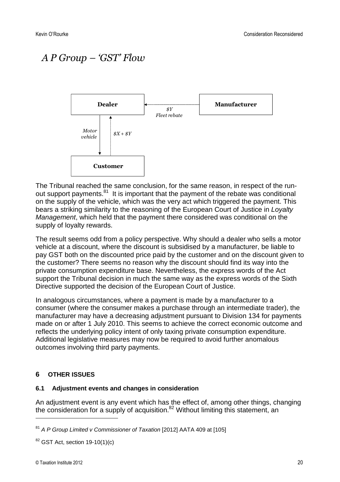# *A P Group – 'GST' Flow*



The Tribunal reached the same conclusion, for the same reason, in respect of the run-out support payments.<sup>[81](#page-19-0)</sup> It is important that the payment of the rebate was conditional on the supply of the vehicle, which was the very act which triggered the payment. This bears a striking similarity to the reasoning of the European Court of Justice in *Loyalty Management*, which held that the payment there considered was conditional on the supply of loyalty rewards.

The result seems odd from a policy perspective. Why should a dealer who sells a motor vehicle at a discount, where the discount is subsidised by a manufacturer, be liable to pay GST both on the discounted price paid by the customer and on the discount given to the customer? There seems no reason why the discount should find its way into the private consumption expenditure base. Nevertheless, the express words of the Act support the Tribunal decision in much the same way as the express words of the Sixth Directive supported the decision of the European Court of Justice.

In analogous circumstances, where a payment is made by a manufacturer to a consumer (where the consumer makes a purchase through an intermediate trader), the manufacturer may have a decreasing adjustment pursuant to Division 134 for payments made on or after 1 July 2010. This seems to achieve the correct economic outcome and reflects the underlying policy intent of only taxing private consumption expenditure. Additional legislative measures may now be required to avoid further anomalous outcomes involving third party payments.

### **6 OTHER ISSUES**

#### **6.1 Adjustment events and changes in consideration**

An adjustment event is any event which has the effect of, among other things, changing the consideration for a supply of acquisition.<sup>[82](#page-19-1)</sup> Without limiting this statement, an

<span id="page-19-0"></span><sup>81</sup> *A P Group Limited v Commissioner of Taxation* [2012] AATA 409 at [105]

<span id="page-19-1"></span> $82$  GST Act, section 19-10(1)(c)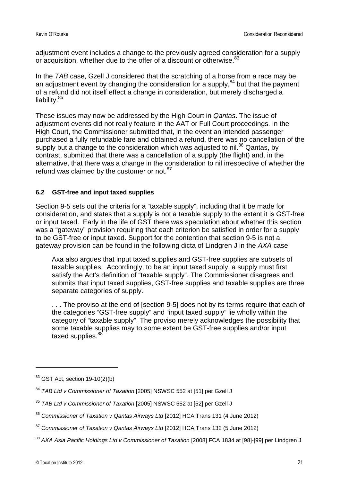adjustment event includes a change to the previously agreed consideration for a supply or acquisition, whether due to the offer of a discount or otherwise.<sup>[83](#page-20-0)</sup>

In the *TAB* case, Gzell J considered that the scratching of a horse from a race may be an adjustment event by changing the consideration for a supply, $84$  but that the payment of a refund did not itself effect a change in consideration, but merely discharged a liability.<sup>[85](#page-20-2)</sup>

These issues may now be addressed by the High Court in *Qantas*. The issue of adjustment events did not really feature in the AAT or Full Court proceedings. In the High Court, the Commissioner submitted that, in the event an intended passenger purchased a fully refundable fare and obtained a refund, there was no cancellation of the supplybut a change to the consideration which was adjusted to nil.<sup>86</sup> Qantas, by contrast, submitted that there was a cancellation of a supply (the flight) and, in the alternative, that there was a change in the consideration to nil irrespective of whether the refundwas claimed by the customer or not[.](#page-20-4) $87$ 

### **6.2 GST-free and input taxed supplies**

Section 9-5 sets out the criteria for a "taxable supply", including that it be made for consideration, and states that a supply is not a taxable supply to the extent it is GST-free or input taxed. Early in the life of GST there was speculation about whether this section was a "gateway" provision requiring that each criterion be satisfied in order for a supply to be GST-free or input taxed. Support for the contention that section 9-5 is not a gateway provision can be found in the following dicta of Lindgren J in the *AXA* case:

Axa also argues that input taxed supplies and GST-free supplies are subsets of taxable supplies. Accordingly, to be an input taxed supply, a supply must first satisfy the Act's definition of "taxable supply". The Commissioner disagrees and submits that input taxed supplies, GST-free supplies and taxable supplies are three separate categories of supply.

. . . The proviso at the end of [section 9-5] does not by its terms require that each of the categories "GST-free supply" and "input taxed supply" lie wholly within the category of "taxable supply". The proviso merely acknowledges the possibility that some taxable supplies may to some extent be GST-free supplies and/or input taxed supplies.<sup>[88](#page-20-5)</sup>

<span id="page-20-0"></span> $83$  GST Act, section 19-10(2)(b)

<span id="page-20-1"></span><sup>84</sup> *TAB Ltd v Commissioner of Taxation* [2005] NSWSC 552 at [51] per Gzell J

<span id="page-20-2"></span><sup>85</sup> *TAB Ltd v Commissioner of Taxation* [2005] NSWSC 552 at [52] per Gzell J

<span id="page-20-3"></span><sup>86</sup> *Commissioner of Taxation v Qantas Airways Ltd* [2012] HCA Trans 131 (4 June 2012)

<span id="page-20-4"></span><sup>87</sup> *Commissioner of Taxation v Qantas Airways Ltd* [2012] HCA Trans 132 (5 June 2012)

<span id="page-20-5"></span><sup>88</sup> *AXA Asia Pacific Holdings Ltd v Commissioner of Taxation* [2008] FCA 1834 at [98]-[99] per Lindgren J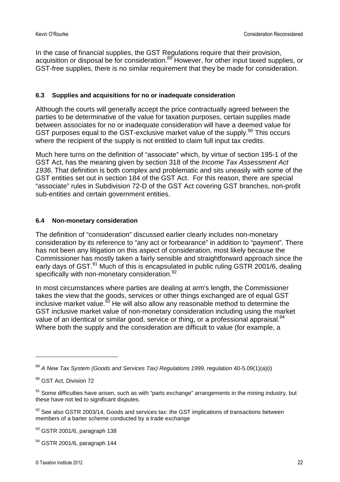In the case of financial supplies, the GST Regulations require that their provision, acquisition or disposal be for consideration.<sup>[89](#page-21-0)</sup> However, for other input taxed supplies, or GST-free supplies, there is no similar requirement that they be made for consideration.

### **6.3 Supplies and acquisitions for no or inadequate consideration**

Although the courts will generally accept the price contractually agreed between the parties to be determinative of the value for taxation purposes, certain supplies made between associates for no or inadequate consideration will have a deemed value for GST purposes equal to the GST-exclusive market value of the supply.<sup>[90](#page-21-1)</sup> This occurs where the recipient of the supply is not entitled to claim full input tax credits.

Much here turns on the definition of "associate" which, by virtue of section 195-1 of the GST Act, has the meaning given by section 318 of the *Income Tax Assessment Act 1936*. That definition is both complex and problematic and sits uneasily with some of the GST entities set out in section 184 of the GST Act. For this reason, there are special "associate" rules in Subdivision 72-D of the GST Act covering GST branches, non-profit sub-entities and certain government entities.

### **6.4 Non-monetary consideration**

The definition of "consideration" discussed earlier clearly includes non-monetary consideration by its reference to "any act or forbearance" in addition to "payment". There has not been any litigation on this aspect of consideration, most likely because the Commissioner has mostly taken a fairly sensible and straightforward approach since the early days of GST.<sup>[91](#page-21-2)</sup> Much of this is encapsulated in public ruling GSTR 2001/6, dealing specifically with non-monetary consideration.<sup>[92](#page-21-3)</sup>

In most circumstances where parties are dealing at arm's length, the Commissioner takes the view that the goods, services or other things exchanged are of equal GST inclusive market value. $93$  He will also allow any reasonable method to determine the GST inclusive market value of non-monetary consideration including using the market value of an identical or similar good, service or thing, or a professional appraisal.<sup>[94](#page-21-5)</sup> Where both the supply and the consideration are difficult to value (for example, a

<span id="page-21-0"></span><sup>89</sup> *A New Tax System (Goods and Services Tax) Regulations 1999*, regulation 40-5.09(1)(a)(i)

<span id="page-21-1"></span><sup>&</sup>lt;sup>90</sup> GST Act, Division 72

<span id="page-21-2"></span> $91$  Some difficulties have arisen, such as with "parts exchange" arrangements in the mining industry, but these have not led to significant disputes.

<span id="page-21-3"></span> $92$  See also GSTR 2003/14, Goods and services tax: the GST implications of transactions between members of a barter scheme conducted by a trade exchange

<span id="page-21-4"></span> $93$  GSTR 2001/6, paragraph 138

<span id="page-21-5"></span> $94$  GSTR 2001/6, paragraph 144